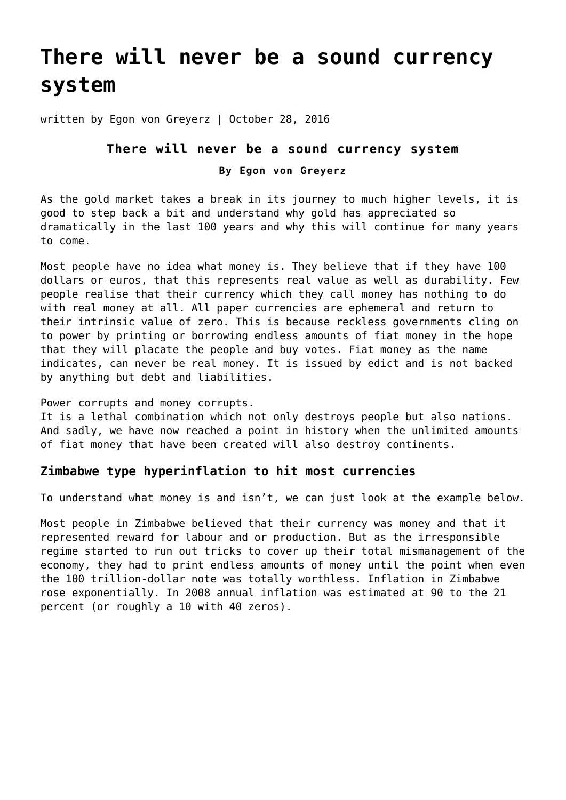# **[There will never be a sound currency](https://goldswitzerland.com/there-will-never-be-a-sound-currency-system/) [system](https://goldswitzerland.com/there-will-never-be-a-sound-currency-system/)**

written by Egon von Greyerz | October 28, 2016

#### **There will never be a sound currency system**

#### **By Egon von Greyerz**

As the gold market takes a break in its journey to much higher levels, it is good to step back a bit and understand why gold has appreciated so dramatically in the last 100 years and why this will continue for many years to come.

Most people have no idea what money is. They believe that if they have 100 dollars or euros, that this represents real value as well as durability. Few people realise that their currency which they call money has nothing to do with real money at all. All paper currencies are ephemeral and return to their intrinsic value of zero. This is because reckless governments cling on to power by printing or borrowing endless amounts of fiat money in the hope that they will placate the people and buy votes. Fiat money as the name indicates, can never be real money. It is issued by edict and is not backed by anything but debt and liabilities.

Power corrupts and money corrupts.

It is a lethal combination which not only destroys people but also nations. And sadly, we have now reached a point in history when the unlimited amounts of fiat money that have been created will also destroy continents.

### **Zimbabwe type hyperinflation to hit most currencies**

To understand what money is and isn't, we can just look at the example below.

Most people in Zimbabwe believed that their currency was money and that it represented reward for labour and or production. But as the irresponsible regime started to run out tricks to cover up their total mismanagement of the economy, they had to print endless amounts of money until the point when even the 100 trillion-dollar note was totally worthless. Inflation in Zimbabwe rose exponentially. In 2008 annual inflation was estimated at 90 to the 21 percent (or roughly a 10 with 40 zeros).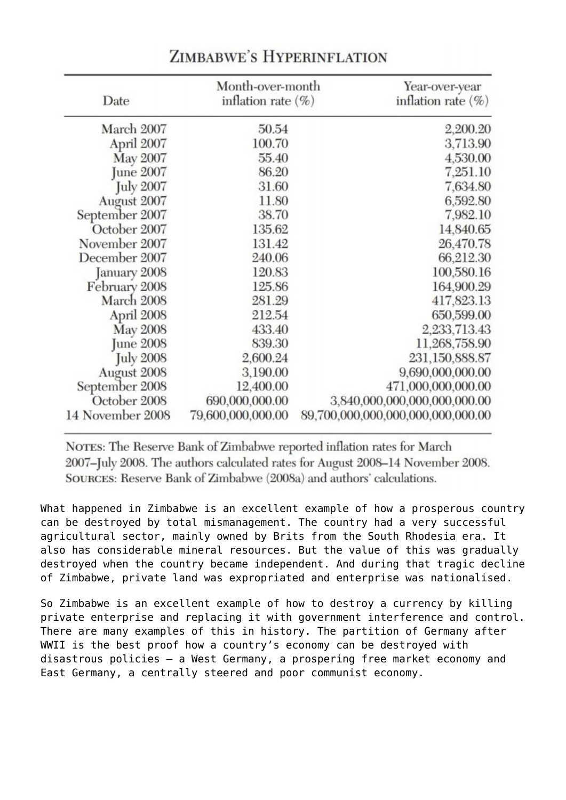| Date             | Month-over-month<br>inflation rate $(\%)$ |  | Year-over-year<br>inflation rate $(\%)$ |
|------------------|-------------------------------------------|--|-----------------------------------------|
| March 2007       | 50.54                                     |  | 2,200.20                                |
| April 2007       | 100.70                                    |  | 3,713.90                                |
| May 2007         | 55.40                                     |  | 4,530.00                                |
| June 2007        | 86.20                                     |  | 7,251.10                                |
| <b>July 2007</b> | 31.60                                     |  | 7,634.80                                |
| August 2007      | 11.80                                     |  | 6,592.80                                |
| September 2007   | 38.70                                     |  | 7,982.10                                |
| October 2007     | 135.62                                    |  | 14,840.65                               |
| November 2007    | 131.42                                    |  | 26,470.78                               |
| December 2007    | 240.06                                    |  | 66,212.30                               |
| January 2008     | 120.83                                    |  | 100,580.16                              |
| February 2008    | 125.86                                    |  | 164,900.29                              |
| March 2008       | 281.29                                    |  | 417,823.13                              |
| April 2008       | 212.54                                    |  | 650,599.00                              |
| <b>May 2008</b>  | 433.40                                    |  | 2,233,713.43                            |
| <b>June 2008</b> | 839.30                                    |  | 11,268,758.90                           |
| <b>July 2008</b> | 2,600.24                                  |  | 231,150,888.87                          |
| August 2008      | 3,190.00                                  |  | 9,690,000,000.00                        |
| September 2008   | 12,400.00                                 |  | 471,000,000,000.00                      |
| October 2008     | 690,000,000.00                            |  | 3,840,000,000,000,000,000.00            |
| 14 November 2008 | 79,600,000,000.00                         |  | 89,700,000,000,000,000,000,000.00       |

## ZIMBABWE'S HYPERINFLATION

NOTES: The Reserve Bank of Zimbabwe reported inflation rates for March 2007-July 2008. The authors calculated rates for August 2008-14 November 2008. SOURCES: Reserve Bank of Zimbabwe (2008a) and authors' calculations.

What happened in Zimbabwe is an excellent example of how a prosperous country can be destroyed by total mismanagement. The country had a very successful agricultural sector, mainly owned by Brits from the South Rhodesia era. It also has considerable mineral resources. But the value of this was gradually destroyed when the country became independent. And during that tragic decline of Zimbabwe, private land was expropriated and enterprise was nationalised.

So Zimbabwe is an excellent example of how to destroy a currency by killing private enterprise and replacing it with government interference and control. There are many examples of this in history. The partition of Germany after WWII is the best proof how a country's economy can be destroyed with disastrous policies – a West Germany, a prospering free market economy and East Germany, a centrally steered and poor communist economy.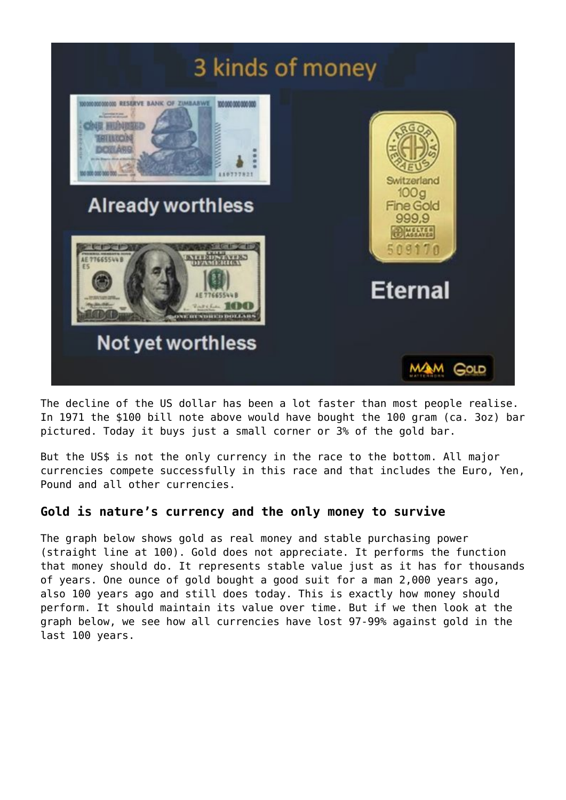

The decline of the US dollar has been a lot faster than most people realise. In 1971 the \$100 bill note above would have bought the 100 gram (ca. 3oz) bar pictured. Today it buys just a small corner or 3% of the gold bar.

But the US\$ is not the only currency in the race to the bottom. All major currencies compete successfully in this race and that includes the Euro, Yen, Pound and all other currencies.

### **Gold is nature's currency and the only money to survive**

The graph below shows gold as real money and stable purchasing power (straight line at 100). Gold does not appreciate. It performs the function that money should do. It represents stable value just as it has for thousands of years. One ounce of gold bought a good suit for a man 2,000 years ago, also 100 years ago and still does today. This is exactly how money should perform. It should maintain its value over time. But if we then look at the graph below, we see how all currencies have lost 97-99% against gold in the last 100 years.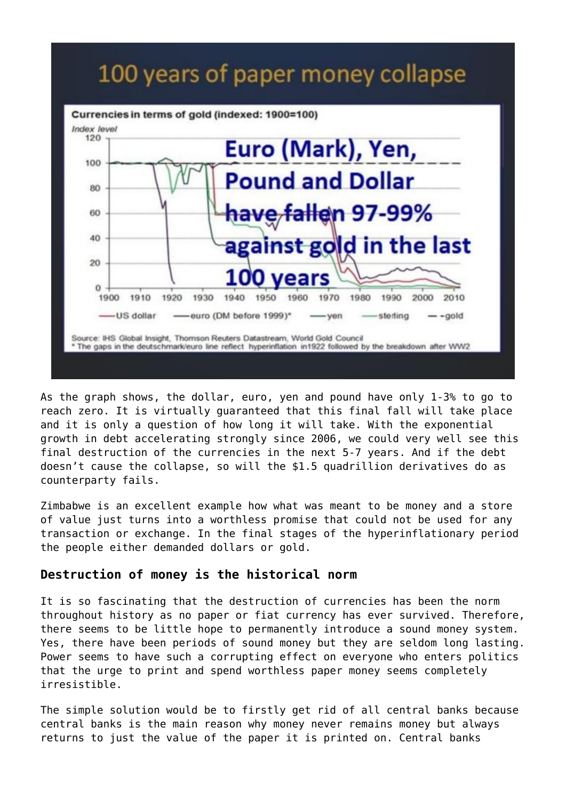# 100 years of paper money collapse



As the graph shows, the dollar, euro, yen and pound have only 1-3% to go to reach zero. It is virtually guaranteed that this final fall will take place and it is only a question of how long it will take. With the exponential growth in debt accelerating strongly since 2006, we could very well see this final destruction of the currencies in the next 5-7 years. And if the debt doesn't cause the collapse, so will the \$1.5 quadrillion derivatives do as counterparty fails.

Zimbabwe is an excellent example how what was meant to be money and a store of value just turns into a worthless promise that could not be used for any transaction or exchange. In the final stages of the hyperinflationary period the people either demanded dollars or gold.

#### **Destruction of money is the historical norm**

It is so fascinating that the destruction of currencies has been the norm throughout history as no paper or fiat currency has ever survived. Therefore, there seems to be little hope to permanently introduce a sound money system. Yes, there have been periods of sound money but they are seldom long lasting. Power seems to have such a corrupting effect on everyone who enters politics that the urge to print and spend worthless paper money seems completely irresistible.

The simple solution would be to firstly get rid of all central banks because central banks is the main reason why money never remains money but always returns to just the value of the paper it is printed on. Central banks